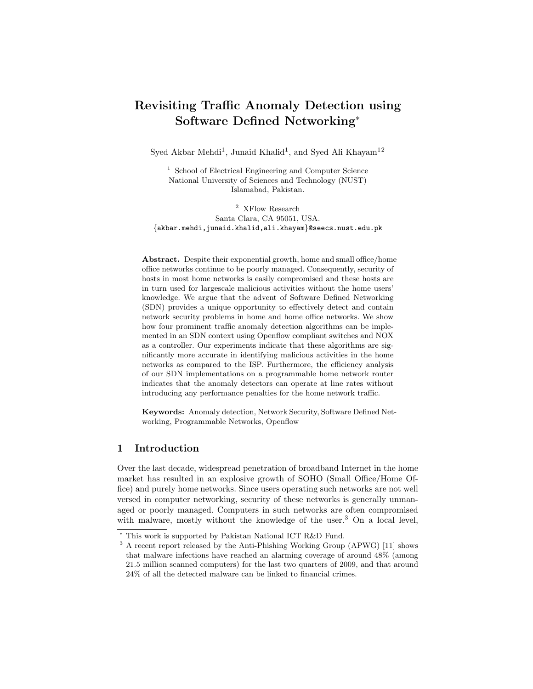# Revisiting Traffic Anomaly Detection using Software Defined Networking<sup>∗</sup>

Syed Akbar Mehdi<sup>1</sup>, Junaid Khalid<sup>1</sup>, and Syed Ali Khayam<sup>12</sup>

<sup>1</sup> School of Electrical Engineering and Computer Science National University of Sciences and Technology (NUST) Islamabad, Pakistan.

<sup>2</sup> XFlow Research Santa Clara, CA 95051, USA. {akbar.mehdi,junaid.khalid,ali.khayam}@seecs.nust.edu.pk

Abstract. Despite their exponential growth, home and small office/home office networks continue to be poorly managed. Consequently, security of hosts in most home networks is easily compromised and these hosts are in turn used for largescale malicious activities without the home users' knowledge. We argue that the advent of Software Defined Networking (SDN) provides a unique opportunity to effectively detect and contain network security problems in home and home office networks. We show how four prominent traffic anomaly detection algorithms can be implemented in an SDN context using Openflow compliant switches and NOX as a controller. Our experiments indicate that these algorithms are significantly more accurate in identifying malicious activities in the home networks as compared to the ISP. Furthermore, the efficiency analysis of our SDN implementations on a programmable home network router indicates that the anomaly detectors can operate at line rates without introducing any performance penalties for the home network traffic.

Keywords: Anomaly detection, Network Security, Software Defined Networking, Programmable Networks, Openflow

# 1 Introduction

Over the last decade, widespread penetration of broadband Internet in the home market has resulted in an explosive growth of SOHO (Small Office/Home Office) and purely home networks. Since users operating such networks are not well versed in computer networking, security of these networks is generally unmanaged or poorly managed. Computers in such networks are often compromised with malware, mostly without the knowledge of the user.<sup>3</sup> On a local level,

<sup>∗</sup> This work is supported by Pakistan National ICT R&D Fund.

<sup>&</sup>lt;sup>3</sup> A recent report released by the Anti-Phishing Working Group (APWG) [11] shows that malware infections have reached an alarming coverage of around 48% (among 21.5 million scanned computers) for the last two quarters of 2009, and that around 24% of all the detected malware can be linked to financial crimes.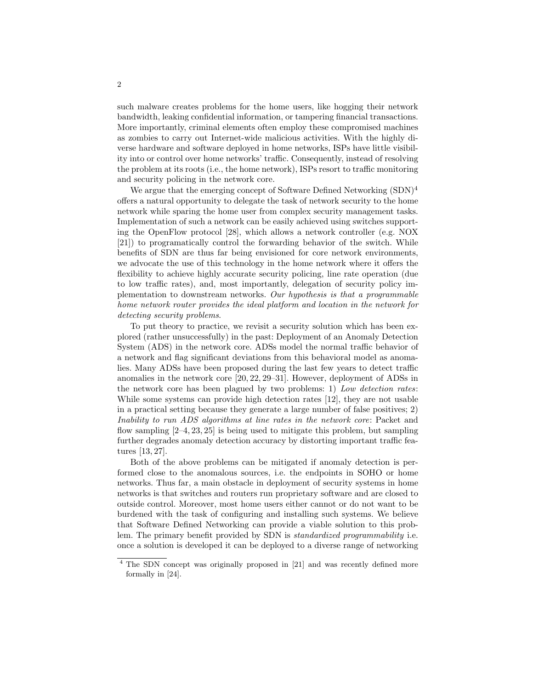such malware creates problems for the home users, like hogging their network bandwidth, leaking confidential information, or tampering financial transactions. More importantly, criminal elements often employ these compromised machines as zombies to carry out Internet-wide malicious activities. With the highly diverse hardware and software deployed in home networks, ISPs have little visibility into or control over home networks' traffic. Consequently, instead of resolving the problem at its roots (i.e., the home network), ISPs resort to traffic monitoring and security policing in the network core.

We argue that the emerging concept of Software Defined Networking  $(SDN)^4$ offers a natural opportunity to delegate the task of network security to the home network while sparing the home user from complex security management tasks. Implementation of such a network can be easily achieved using switches supporting the OpenFlow protocol [28], which allows a network controller (e.g. NOX [21]) to programatically control the forwarding behavior of the switch. While benefits of SDN are thus far being envisioned for core network environments, we advocate the use of this technology in the home network where it offers the flexibility to achieve highly accurate security policing, line rate operation (due to low traffic rates), and, most importantly, delegation of security policy implementation to downstream networks. Our hypothesis is that a programmable home network router provides the ideal platform and location in the network for detecting security problems.

To put theory to practice, we revisit a security solution which has been explored (rather unsuccessfully) in the past: Deployment of an Anomaly Detection System (ADS) in the network core. ADSs model the normal traffic behavior of a network and flag significant deviations from this behavioral model as anomalies. Many ADSs have been proposed during the last few years to detect traffic anomalies in the network core [20, 22, 29–31]. However, deployment of ADSs in the network core has been plagued by two problems: 1) Low detection rates: While some systems can provide high detection rates [12], they are not usable in a practical setting because they generate a large number of false positives; 2) Inability to run ADS algorithms at line rates in the network core: Packet and flow sampling [2–4, 23, 25] is being used to mitigate this problem, but sampling further degrades anomaly detection accuracy by distorting important traffic features [13, 27].

Both of the above problems can be mitigated if anomaly detection is performed close to the anomalous sources, i.e. the endpoints in SOHO or home networks. Thus far, a main obstacle in deployment of security systems in home networks is that switches and routers run proprietary software and are closed to outside control. Moreover, most home users either cannot or do not want to be burdened with the task of configuring and installing such systems. We believe that Software Defined Networking can provide a viable solution to this problem. The primary benefit provided by SDN is standardized programmability i.e. once a solution is developed it can be deployed to a diverse range of networking

<sup>4</sup> The SDN concept was originally proposed in [21] and was recently defined more formally in [24].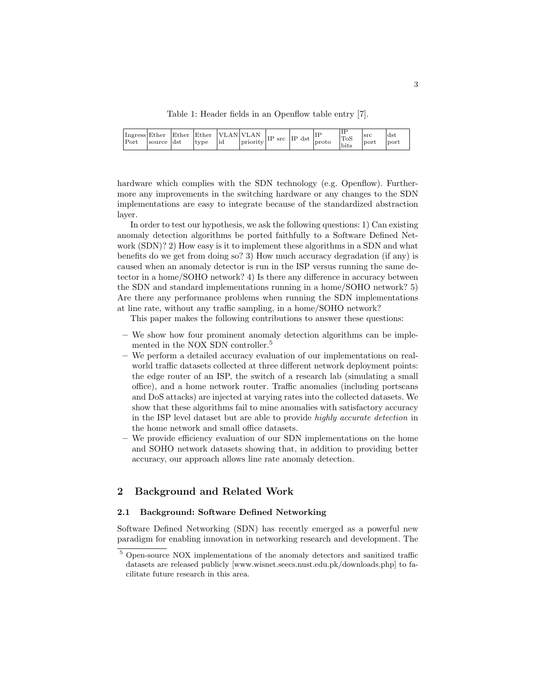Table 1: Header fields in an Openflow table entry [7].

| $\rm Port$ | source dst |  | tvpe | lid | priority |  | src IP dst | ΙI<br>proto | ΙH<br>T <sub>o</sub> S<br>bits <sup>'</sup> | <b>STC</b><br>port | dst<br>port |  |
|------------|------------|--|------|-----|----------|--|------------|-------------|---------------------------------------------|--------------------|-------------|--|
|------------|------------|--|------|-----|----------|--|------------|-------------|---------------------------------------------|--------------------|-------------|--|

hardware which complies with the SDN technology (e.g. Openflow). Furthermore any improvements in the switching hardware or any changes to the SDN implementations are easy to integrate because of the standardized abstraction layer.

In order to test our hypothesis, we ask the following questions: 1) Can existing anomaly detection algorithms be ported faithfully to a Software Defined Network (SDN)? 2) How easy is it to implement these algorithms in a SDN and what benefits do we get from doing so? 3) How much accuracy degradation (if any) is caused when an anomaly detector is run in the ISP versus running the same detector in a home/SOHO network? 4) Is there any difference in accuracy between the SDN and standard implementations running in a home/SOHO network? 5) Are there any performance problems when running the SDN implementations at line rate, without any traffic sampling, in a home/SOHO network?

This paper makes the following contributions to answer these questions:

- We show how four prominent anomaly detection algorithms can be implemented in the NOX SDN controller.<sup>5</sup>
- We perform a detailed accuracy evaluation of our implementations on realworld traffic datasets collected at three different network deployment points: the edge router of an ISP, the switch of a research lab (simulating a small office), and a home network router. Traffic anomalies (including portscans and DoS attacks) are injected at varying rates into the collected datasets. We show that these algorithms fail to mine anomalies with satisfactory accuracy in the ISP level dataset but are able to provide highly accurate detection in the home network and small office datasets.
- We provide efficiency evaluation of our SDN implementations on the home and SOHO network datasets showing that, in addition to providing better accuracy, our approach allows line rate anomaly detection.

# 2 Background and Related Work

## 2.1 Background: Software Defined Networking

Software Defined Networking (SDN) has recently emerged as a powerful new paradigm for enabling innovation in networking research and development. The

<sup>5</sup> Open-source NOX implementations of the anomaly detectors and sanitized traffic datasets are released publicly [www.wisnet.seecs.nust.edu.pk/downloads.php] to facilitate future research in this area.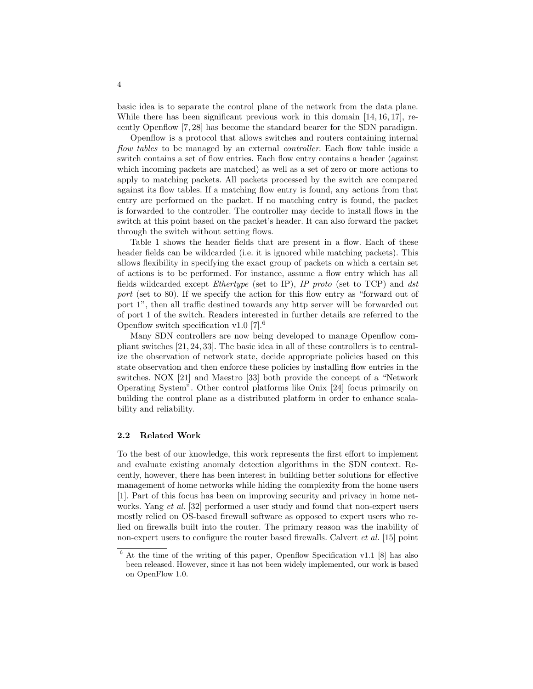basic idea is to separate the control plane of the network from the data plane. While there has been significant previous work in this domain [14, 16, 17], recently Openflow [7, 28] has become the standard bearer for the SDN paradigm.

Openflow is a protocol that allows switches and routers containing internal flow tables to be managed by an external *controller*. Each flow table inside a switch contains a set of flow entries. Each flow entry contains a header (against which incoming packets are matched) as well as a set of zero or more actions to apply to matching packets. All packets processed by the switch are compared against its flow tables. If a matching flow entry is found, any actions from that entry are performed on the packet. If no matching entry is found, the packet is forwarded to the controller. The controller may decide to install flows in the switch at this point based on the packet's header. It can also forward the packet through the switch without setting flows.

Table 1 shows the header fields that are present in a flow. Each of these header fields can be wildcarded (i.e. it is ignored while matching packets). This allows flexibility in specifying the exact group of packets on which a certain set of actions is to be performed. For instance, assume a flow entry which has all fields wildcarded except *Ethertype* (set to IP),  $IP$  proto (set to TCP) and dst port (set to 80). If we specify the action for this flow entry as "forward out of port 1", then all traffic destined towards any http server will be forwarded out of port 1 of the switch. Readers interested in further details are referred to the Openflow switch specification v1.0 [7].<sup>6</sup>

Many SDN controllers are now being developed to manage Openflow compliant switches [21, 24, 33]. The basic idea in all of these controllers is to centralize the observation of network state, decide appropriate policies based on this state observation and then enforce these policies by installing flow entries in the switches. NOX [21] and Maestro [33] both provide the concept of a "Network Operating System". Other control platforms like Onix [24] focus primarily on building the control plane as a distributed platform in order to enhance scalability and reliability.

## 2.2 Related Work

To the best of our knowledge, this work represents the first effort to implement and evaluate existing anomaly detection algorithms in the SDN context. Recently, however, there has been interest in building better solutions for effective management of home networks while hiding the complexity from the home users [1]. Part of this focus has been on improving security and privacy in home networks. Yang et al. [32] performed a user study and found that non-expert users mostly relied on OS-based firewall software as opposed to expert users who relied on firewalls built into the router. The primary reason was the inability of non-expert users to configure the router based firewalls. Calvert et al. [15] point

 $6$  At the time of the writing of this paper, Openflow Specification v1.1 [8] has also been released. However, since it has not been widely implemented, our work is based on OpenFlow 1.0.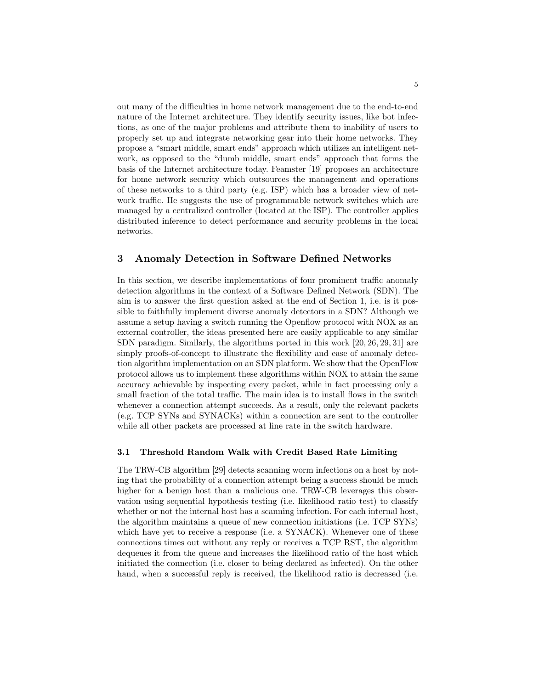out many of the difficulties in home network management due to the end-to-end nature of the Internet architecture. They identify security issues, like bot infections, as one of the major problems and attribute them to inability of users to properly set up and integrate networking gear into their home networks. They propose a "smart middle, smart ends" approach which utilizes an intelligent network, as opposed to the "dumb middle, smart ends" approach that forms the basis of the Internet architecture today. Feamster [19] proposes an architecture for home network security which outsources the management and operations of these networks to a third party (e.g. ISP) which has a broader view of network traffic. He suggests the use of programmable network switches which are managed by a centralized controller (located at the ISP). The controller applies distributed inference to detect performance and security problems in the local networks.

# 3 Anomaly Detection in Software Defined Networks

In this section, we describe implementations of four prominent traffic anomaly detection algorithms in the context of a Software Defined Network (SDN). The aim is to answer the first question asked at the end of Section 1, i.e. is it possible to faithfully implement diverse anomaly detectors in a SDN? Although we assume a setup having a switch running the Openflow protocol with NOX as an external controller, the ideas presented here are easily applicable to any similar SDN paradigm. Similarly, the algorithms ported in this work [20, 26, 29, 31] are simply proofs-of-concept to illustrate the flexibility and ease of anomaly detection algorithm implementation on an SDN platform. We show that the OpenFlow protocol allows us to implement these algorithms within NOX to attain the same accuracy achievable by inspecting every packet, while in fact processing only a small fraction of the total traffic. The main idea is to install flows in the switch whenever a connection attempt succeeds. As a result, only the relevant packets (e.g. TCP SYNs and SYNACKs) within a connection are sent to the controller while all other packets are processed at line rate in the switch hardware.

## 3.1 Threshold Random Walk with Credit Based Rate Limiting

The TRW-CB algorithm [29] detects scanning worm infections on a host by noting that the probability of a connection attempt being a success should be much higher for a benign host than a malicious one. TRW-CB leverages this observation using sequential hypothesis testing (i.e. likelihood ratio test) to classify whether or not the internal host has a scanning infection. For each internal host, the algorithm maintains a queue of new connection initiations (i.e. TCP SYNs) which have yet to receive a response (i.e. a SYNACK). Whenever one of these connections times out without any reply or receives a TCP RST, the algorithm dequeues it from the queue and increases the likelihood ratio of the host which initiated the connection (i.e. closer to being declared as infected). On the other hand, when a successful reply is received, the likelihood ratio is decreased (i.e.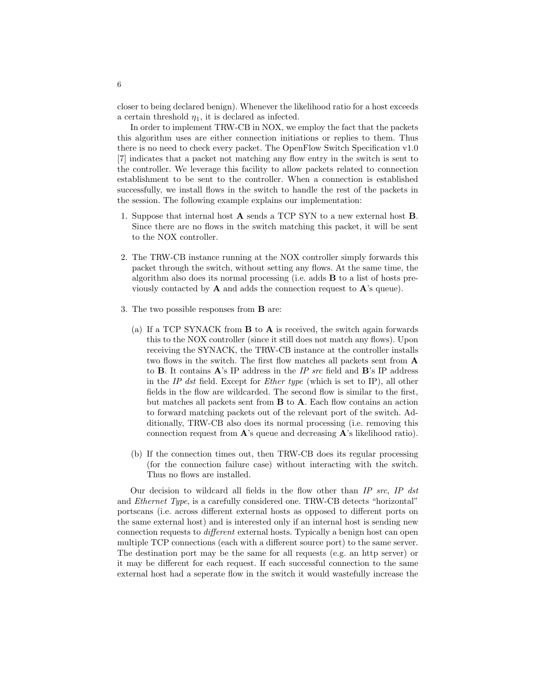closer to being declared benign). Whenever the likelihood ratio for a host exceeds a certain threshold  $\eta_1$ , it is declared as infected.

In order to implement TRW-CB in NOX, we employ the fact that the packets this algorithm uses are either connection initiations or replies to them. Thus there is no need to check every packet. The OpenFlow Switch Specification v1.0 [7] indicates that a packet not matching any flow entry in the switch is sent to the controller. We leverage this facility to allow packets related to connection establishment to be sent to the controller. When a connection is established successfully, we install flows in the switch to handle the rest of the packets in the session. The following example explains our implementation:

- 1. Suppose that internal host A sends a TCP SYN to a new external host B. Since there are no flows in the switch matching this packet, it will be sent to the NOX controller.
- 2. The TRW-CB instance running at the NOX controller simply forwards this packet through the switch, without setting any flows. At the same time, the algorithm also does its normal processing (i.e. adds B to a list of hosts previously contacted by  $\bf{A}$  and adds the connection request to  $\bf{A}$ 's queue).
- 3. The two possible responses from B are:
	- (a) If a TCP SYNACK from  $B$  to  $A$  is received, the switch again forwards this to the NOX controller (since it still does not match any flows). Upon receiving the SYNACK, the TRW-CB instance at the controller installs two flows in the switch. The first flow matches all packets sent from A to **B**. It contains  $\mathbf{A}$ 's IP address in the *IP src* field and  $\mathbf{B}$ 's IP address in the IP dst field. Except for *Ether type* (which is set to IP), all other fields in the flow are wildcarded. The second flow is similar to the first, but matches all packets sent from B to A. Each flow contains an action to forward matching packets out of the relevant port of the switch. Additionally, TRW-CB also does its normal processing (i.e. removing this connection request from A's queue and decreasing A's likelihood ratio).
	- (b) If the connection times out, then TRW-CB does its regular processing (for the connection failure case) without interacting with the switch. Thus no flows are installed.

Our decision to wildcard all fields in the flow other than  $IP$  src,  $IP$  dst and Ethernet Type, is a carefully considered one. TRW-CB detects "horizontal" portscans (i.e. across different external hosts as opposed to different ports on the same external host) and is interested only if an internal host is sending new connection requests to different external hosts. Typically a benign host can open multiple TCP connections (each with a different source port) to the same server. The destination port may be the same for all requests (e.g. an http server) or it may be different for each request. If each successful connection to the same external host had a seperate flow in the switch it would wastefully increase the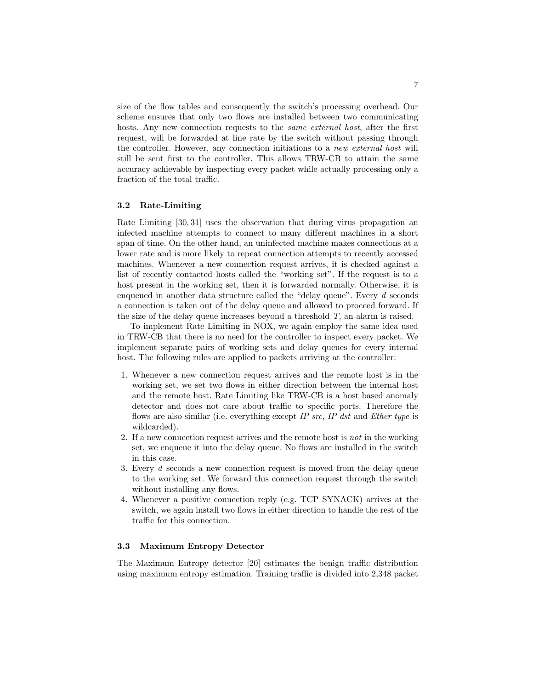size of the flow tables and consequently the switch's processing overhead. Our scheme ensures that only two flows are installed between two communicating hosts. Any new connection requests to the *same external host*, after the first request, will be forwarded at line rate by the switch without passing through the controller. However, any connection initiations to a new external host will still be sent first to the controller. This allows TRW-CB to attain the same accuracy achievable by inspecting every packet while actually processing only a fraction of the total traffic.

## 3.2 Rate-Limiting

Rate Limiting [30, 31] uses the observation that during virus propagation an infected machine attempts to connect to many different machines in a short span of time. On the other hand, an uninfected machine makes connections at a lower rate and is more likely to repeat connection attempts to recently accessed machines. Whenever a new connection request arrives, it is checked against a list of recently contacted hosts called the "working set". If the request is to a host present in the working set, then it is forwarded normally. Otherwise, it is enqueued in another data structure called the "delay queue". Every d seconds a connection is taken out of the delay queue and allowed to proceed forward. If the size of the delay queue increases beyond a threshold T, an alarm is raised.

To implement Rate Limiting in NOX, we again employ the same idea used in TRW-CB that there is no need for the controller to inspect every packet. We implement separate pairs of working sets and delay queues for every internal host. The following rules are applied to packets arriving at the controller:

- 1. Whenever a new connection request arrives and the remote host is in the working set, we set two flows in either direction between the internal host and the remote host. Rate Limiting like TRW-CB is a host based anomaly detector and does not care about traffic to specific ports. Therefore the flows are also similar (i.e. everything except  $IP$  src,  $IP$  dst and Ether type is wildcarded).
- 2. If a new connection request arrives and the remote host is *not* in the working set, we enqueue it into the delay queue. No flows are installed in the switch in this case.
- 3. Every d seconds a new connection request is moved from the delay queue to the working set. We forward this connection request through the switch without installing any flows.
- 4. Whenever a positive connection reply (e.g. TCP SYNACK) arrives at the switch, we again install two flows in either direction to handle the rest of the traffic for this connection.

#### 3.3 Maximum Entropy Detector

The Maximum Entropy detector [20] estimates the benign traffic distribution using maximum entropy estimation. Training traffic is divided into 2,348 packet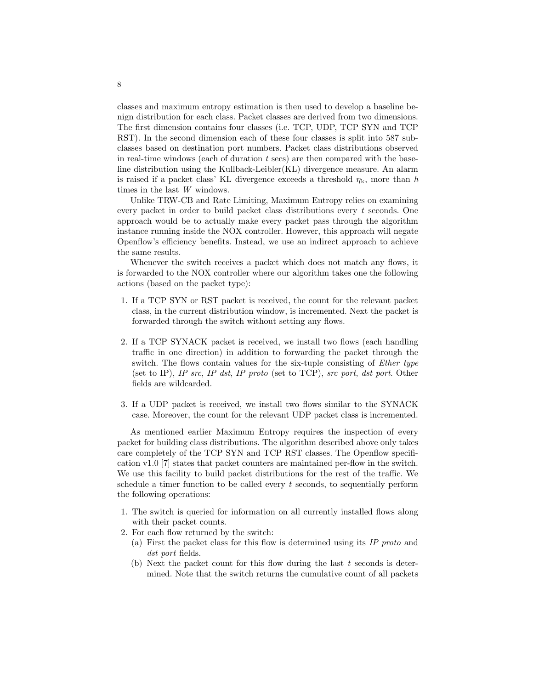classes and maximum entropy estimation is then used to develop a baseline benign distribution for each class. Packet classes are derived from two dimensions. The first dimension contains four classes (i.e. TCP, UDP, TCP SYN and TCP RST). In the second dimension each of these four classes is split into 587 subclasses based on destination port numbers. Packet class distributions observed in real-time windows (each of duration  $t$  secs) are then compared with the baseline distribution using the Kullback-Leibler(KL) divergence measure. An alarm is raised if a packet class' KL divergence exceeds a threshold  $\eta_k$ , more than h times in the last W windows.

Unlike TRW-CB and Rate Limiting, Maximum Entropy relies on examining every packet in order to build packet class distributions every t seconds. One approach would be to actually make every packet pass through the algorithm instance running inside the NOX controller. However, this approach will negate Openflow's efficiency benefits. Instead, we use an indirect approach to achieve the same results.

Whenever the switch receives a packet which does not match any flows, it is forwarded to the NOX controller where our algorithm takes one the following actions (based on the packet type):

- 1. If a TCP SYN or RST packet is received, the count for the relevant packet class, in the current distribution window, is incremented. Next the packet is forwarded through the switch without setting any flows.
- 2. If a TCP SYNACK packet is received, we install two flows (each handling traffic in one direction) in addition to forwarding the packet through the switch. The flows contain values for the six-tuple consisting of *Ether type* (set to IP), IP src, IP dst, IP proto (set to TCP), src port, dst port. Other fields are wildcarded.
- 3. If a UDP packet is received, we install two flows similar to the SYNACK case. Moreover, the count for the relevant UDP packet class is incremented.

As mentioned earlier Maximum Entropy requires the inspection of every packet for building class distributions. The algorithm described above only takes care completely of the TCP SYN and TCP RST classes. The Openflow specification v1.0 [7] states that packet counters are maintained per-flow in the switch. We use this facility to build packet distributions for the rest of the traffic. We schedule a timer function to be called every t seconds, to sequentially perform the following operations:

- 1. The switch is queried for information on all currently installed flows along with their packet counts.
- 2. For each flow returned by the switch:
	- (a) First the packet class for this flow is determined using its IP proto and dst port fields.
	- (b) Next the packet count for this flow during the last  $t$  seconds is determined. Note that the switch returns the cumulative count of all packets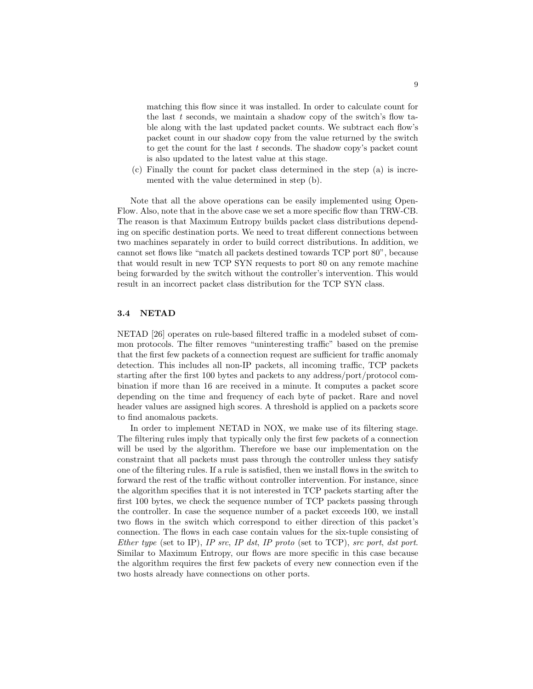matching this flow since it was installed. In order to calculate count for the last  $t$  seconds, we maintain a shadow copy of the switch's flow table along with the last updated packet counts. We subtract each flow's packet count in our shadow copy from the value returned by the switch to get the count for the last  $t$  seconds. The shadow copy's packet count is also updated to the latest value at this stage.

(c) Finally the count for packet class determined in the step (a) is incremented with the value determined in step (b).

Note that all the above operations can be easily implemented using Open-Flow. Also, note that in the above case we set a more specific flow than TRW-CB. The reason is that Maximum Entropy builds packet class distributions depending on specific destination ports. We need to treat different connections between two machines separately in order to build correct distributions. In addition, we cannot set flows like "match all packets destined towards TCP port 80", because that would result in new TCP SYN requests to port 80 on any remote machine being forwarded by the switch without the controller's intervention. This would result in an incorrect packet class distribution for the TCP SYN class.

#### 3.4 NETAD

NETAD [26] operates on rule-based filtered traffic in a modeled subset of common protocols. The filter removes "uninteresting traffic" based on the premise that the first few packets of a connection request are sufficient for traffic anomaly detection. This includes all non-IP packets, all incoming traffic, TCP packets starting after the first 100 bytes and packets to any address/port/protocol combination if more than 16 are received in a minute. It computes a packet score depending on the time and frequency of each byte of packet. Rare and novel header values are assigned high scores. A threshold is applied on a packets score to find anomalous packets.

In order to implement NETAD in NOX, we make use of its filtering stage. The filtering rules imply that typically only the first few packets of a connection will be used by the algorithm. Therefore we base our implementation on the constraint that all packets must pass through the controller unless they satisfy one of the filtering rules. If a rule is satisfied, then we install flows in the switch to forward the rest of the traffic without controller intervention. For instance, since the algorithm specifies that it is not interested in TCP packets starting after the first 100 bytes, we check the sequence number of TCP packets passing through the controller. In case the sequence number of a packet exceeds 100, we install two flows in the switch which correspond to either direction of this packet's connection. The flows in each case contain values for the six-tuple consisting of Ether type (set to IP), IP src, IP dst, IP proto (set to TCP), src port, dst port. Similar to Maximum Entropy, our flows are more specific in this case because the algorithm requires the first few packets of every new connection even if the two hosts already have connections on other ports.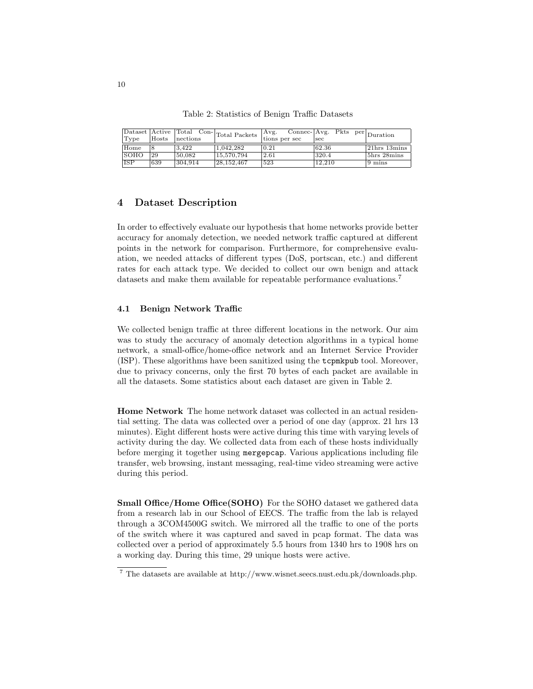Table 2: Statistics of Benign Traffic Datasets

| Type        | <b>Hosts</b> | nections | $\sqrt{\textrm{Datasets}}$  Active Total Con- $\vert$ Total Packets $\vert$ <sup>P</sup> | Avg.<br>tions per sec | $\overline{\text{Connect}}$ Avg. Pkts per Duration<br><b>sec</b> |                                     |
|-------------|--------------|----------|------------------------------------------------------------------------------------------|-----------------------|------------------------------------------------------------------|-------------------------------------|
| Home        | 8            | 3.422    | 1.042.282                                                                                | 0.21                  | 62.36                                                            | $21h$ rs $13min$ s                  |
| <b>SOHO</b> | 29           | 50.082   | 15.570.794                                                                               | 2.61                  | 320.4                                                            | 5 <sub>hrs</sub> 28 <sub>mins</sub> |
| <b>ISP</b>  | 639          | 304.914  | 28.152.467                                                                               | 523                   | 12.210                                                           | 9 mins                              |

# 4 Dataset Description

In order to effectively evaluate our hypothesis that home networks provide better accuracy for anomaly detection, we needed network traffic captured at different points in the network for comparison. Furthermore, for comprehensive evaluation, we needed attacks of different types (DoS, portscan, etc.) and different rates for each attack type. We decided to collect our own benign and attack datasets and make them available for repeatable performance evaluations.<sup>7</sup>

#### 4.1 Benign Network Traffic

We collected benign traffic at three different locations in the network. Our aim was to study the accuracy of anomaly detection algorithms in a typical home network, a small-office/home-office network and an Internet Service Provider (ISP). These algorithms have been sanitized using the tcpmkpub tool. Moreover, due to privacy concerns, only the first 70 bytes of each packet are available in all the datasets. Some statistics about each dataset are given in Table 2.

Home Network The home network dataset was collected in an actual residential setting. The data was collected over a period of one day (approx. 21 hrs 13 minutes). Eight different hosts were active during this time with varying levels of activity during the day. We collected data from each of these hosts individually before merging it together using mergepcap. Various applications including file transfer, web browsing, instant messaging, real-time video streaming were active during this period.

Small Office/Home Office(SOHO) For the SOHO dataset we gathered data from a research lab in our School of EECS. The traffic from the lab is relayed through a 3COM4500G switch. We mirrored all the traffic to one of the ports of the switch where it was captured and saved in pcap format. The data was collected over a period of approximately 5.5 hours from 1340 hrs to 1908 hrs on a working day. During this time, 29 unique hosts were active.

<sup>7</sup> The datasets are available at http://www.wisnet.seecs.nust.edu.pk/downloads.php.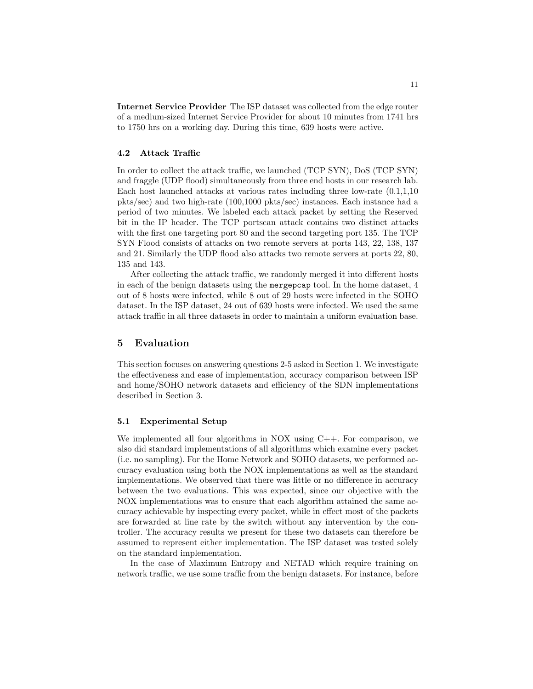Internet Service Provider The ISP dataset was collected from the edge router of a medium-sized Internet Service Provider for about 10 minutes from 1741 hrs to 1750 hrs on a working day. During this time, 639 hosts were active.

## 4.2 Attack Traffic

In order to collect the attack traffic, we launched (TCP SYN), DoS (TCP SYN) and fraggle (UDP flood) simultaneously from three end hosts in our research lab. Each host launched attacks at various rates including three low-rate (0.1,1,10 pkts/sec) and two high-rate (100,1000 pkts/sec) instances. Each instance had a period of two minutes. We labeled each attack packet by setting the Reserved bit in the IP header. The TCP portscan attack contains two distinct attacks with the first one targeting port 80 and the second targeting port 135. The TCP SYN Flood consists of attacks on two remote servers at ports 143, 22, 138, 137 and 21. Similarly the UDP flood also attacks two remote servers at ports 22, 80, 135 and 143.

After collecting the attack traffic, we randomly merged it into different hosts in each of the benign datasets using the mergepcap tool. In the home dataset, 4 out of 8 hosts were infected, while 8 out of 29 hosts were infected in the SOHO dataset. In the ISP dataset, 24 out of 639 hosts were infected. We used the same attack traffic in all three datasets in order to maintain a uniform evaluation base.

## 5 Evaluation

This section focuses on answering questions 2-5 asked in Section 1. We investigate the effectiveness and ease of implementation, accuracy comparison between ISP and home/SOHO network datasets and efficiency of the SDN implementations described in Section 3.

## 5.1 Experimental Setup

We implemented all four algorithms in NOX using  $C++$ . For comparison, we also did standard implementations of all algorithms which examine every packet (i.e. no sampling). For the Home Network and SOHO datasets, we performed accuracy evaluation using both the NOX implementations as well as the standard implementations. We observed that there was little or no difference in accuracy between the two evaluations. This was expected, since our objective with the NOX implementations was to ensure that each algorithm attained the same accuracy achievable by inspecting every packet, while in effect most of the packets are forwarded at line rate by the switch without any intervention by the controller. The accuracy results we present for these two datasets can therefore be assumed to represent either implementation. The ISP dataset was tested solely on the standard implementation.

In the case of Maximum Entropy and NETAD which require training on network traffic, we use some traffic from the benign datasets. For instance, before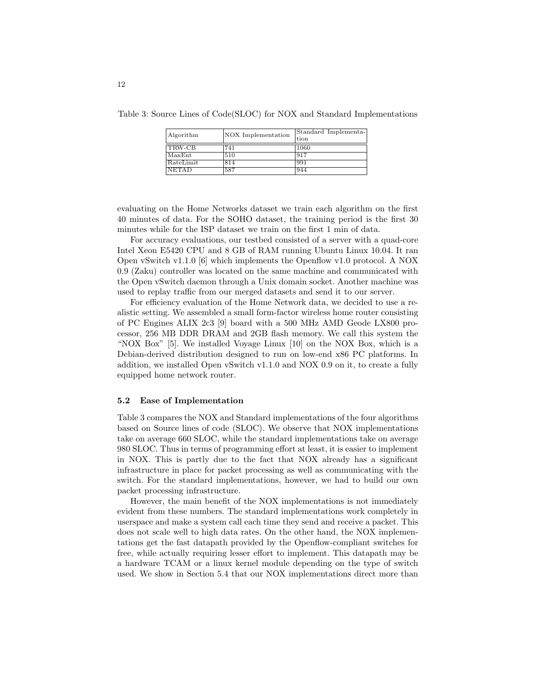| Algorithm    | NOX Implementation | Standard Implementa-<br>tion |
|--------------|--------------------|------------------------------|
| TRW-CB       | 741                | 1060                         |
| MaxEnt       | 510                | 917                          |
| RateLimit    | 814                | 991                          |
| <b>NETAD</b> | 587                | 944                          |

Table 3: Source Lines of Code(SLOC) for NOX and Standard Implementations

evaluating on the Home Networks dataset we train each algorithm on the first 40 minutes of data. For the SOHO dataset, the training period is the first 30 minutes while for the ISP dataset we train on the first 1 min of data.

For accuracy evaluations, our testbed consisted of a server with a quad-core Intel Xeon E5420 CPU and 8 GB of RAM running Ubuntu Linux 10.04. It ran Open vSwitch v1.1.0 [6] which implements the Openflow v1.0 protocol. A NOX 0.9 (Zaku) controller was located on the same machine and communicated with the Open vSwitch daemon through a Unix domain socket. Another machine was used to replay traffic from our merged datasets and send it to our server.

For efficiency evaluation of the Home Network data, we decided to use a realistic setting. We assembled a small form-factor wireless home router consisting of PC Engines ALIX 2c3 [9] board with a 500 MHz AMD Geode LX800 processor, 256 MB DDR DRAM and 2GB flash memory. We call this system the "NOX Box" [5]. We installed Voyage Linux [10] on the NOX Box, which is a Debian-derived distribution designed to run on low-end x86 PC platforms. In addition, we installed Open vSwitch v1.1.0 and NOX 0.9 on it, to create a fully equipped home network router.

#### 5.2 Ease of Implementation

Table 3 compares the NOX and Standard implementations of the four algorithms based on Source lines of code (SLOC). We observe that NOX implementations take on average 660 SLOC, while the standard implementations take on average 980 SLOC. Thus in terms of programming effort at least, it is easier to implement in NOX. This is partly due to the fact that NOX already has a significant infrastructure in place for packet processing as well as communicating with the switch. For the standard implementations, however, we had to build our own packet processing infrastructure.

However, the main benefit of the NOX implementations is not immediately evident from these numbers. The standard implementations work completely in userspace and make a system call each time they send and receive a packet. This does not scale well to high data rates. On the other hand, the NOX implementations get the fast datapath provided by the Openflow-compliant switches for free, while actually requiring lesser effort to implement. This datapath may be a hardware TCAM or a linux kernel module depending on the type of switch used. We show in Section 5.4 that our NOX implementations direct more than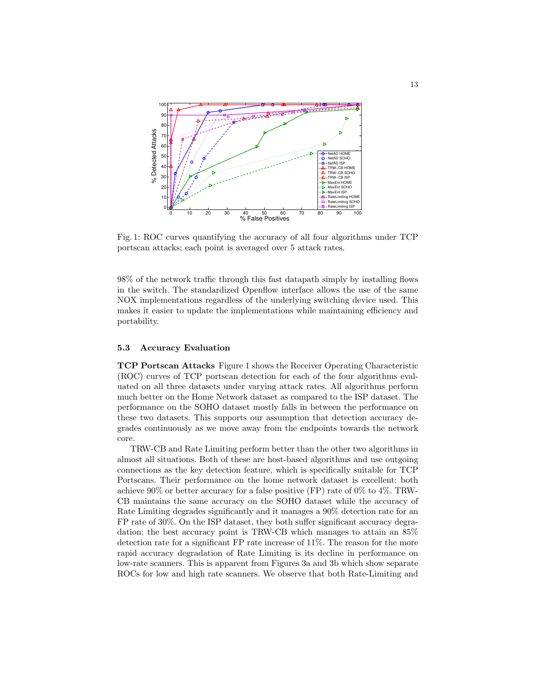

Fig. 1: ROC curves quantifying the accuracy of all four algorithms under TCP portscan attacks; each point is averaged over 5 attack rates.

98% of the network traffic through this fast datapath simply by installing flows in the switch. The standardized Openflow interface allows the use of the same NOX implementations regardless of the underlying switching device used. This makes it easier to update the implementations while maintaining efficiency and portability.

## 5.3 Accuracy Evaluation

TCP Portscan Attacks Figure 1 shows the Receiver Operating Characteristic (ROC) curves of TCP portscan detection for each of the four algorithms evaluated on all three datasets under varying attack rates. All algorithms perform much better on the Home Network dataset as compared to the ISP dataset. The performance on the SOHO dataset mostly falls in between the performance on these two datasets. This supports our assumption that detection accuracy degrades continuously as we move away from the endpoints towards the network core.

TRW-CB and Rate Limiting perform better than the other two algorithms in almost all situations. Both of these are host-based algorithms and use outgoing connections as the key detection feature, which is specifically suitable for TCP Portscans. Their performance on the home network dataset is excellent: both achieve  $90\%$  or better accuracy for a false positive (FP) rate of  $0\%$  to  $4\%$ . TRW-CB maintains the same accuracy on the SOHO dataset while the accuracy of Rate Limiting degrades significantly and it manages a 90% detection rate for an FP rate of 30%. On the ISP dataset, they both suffer significant accuracy degradation; the best accuracy point is TRW-CB which manages to attain an 85% detection rate for a significant FP rate increase of 11%. The reason for the more rapid accuracy degradation of Rate Limiting is its decline in performance on low-rate scanners. This is apparent from Figures 3a and 3b which show separate ROCs for low and high rate scanners. We observe that both Rate-Limiting and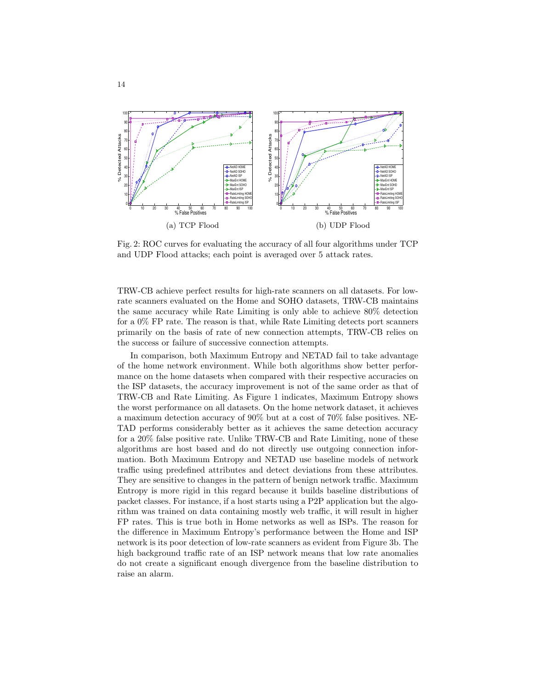

Fig. 2: ROC curves for evaluating the accuracy of all four algorithms under TCP and UDP Flood attacks; each point is averaged over 5 attack rates.

TRW-CB achieve perfect results for high-rate scanners on all datasets. For lowrate scanners evaluated on the Home and SOHO datasets, TRW-CB maintains the same accuracy while Rate Limiting is only able to achieve 80% detection for a 0% FP rate. The reason is that, while Rate Limiting detects port scanners primarily on the basis of rate of new connection attempts, TRW-CB relies on the success or failure of successive connection attempts.

In comparison, both Maximum Entropy and NETAD fail to take advantage of the home network environment. While both algorithms show better performance on the home datasets when compared with their respective accuracies on the ISP datasets, the accuracy improvement is not of the same order as that of TRW-CB and Rate Limiting. As Figure 1 indicates, Maximum Entropy shows the worst performance on all datasets. On the home network dataset, it achieves a maximum detection accuracy of 90% but at a cost of 70% false positives. NE-TAD performs considerably better as it achieves the same detection accuracy for a 20% false positive rate. Unlike TRW-CB and Rate Limiting, none of these algorithms are host based and do not directly use outgoing connection information. Both Maximum Entropy and NETAD use baseline models of network traffic using predefined attributes and detect deviations from these attributes. They are sensitive to changes in the pattern of benign network traffic. Maximum Entropy is more rigid in this regard because it builds baseline distributions of packet classes. For instance, if a host starts using a P2P application but the algorithm was trained on data containing mostly web traffic, it will result in higher FP rates. This is true both in Home networks as well as ISPs. The reason for the difference in Maximum Entropy's performance between the Home and ISP network is its poor detection of low-rate scanners as evident from Figure 3b. The high background traffic rate of an ISP network means that low rate anomalies do not create a significant enough divergence from the baseline distribution to raise an alarm.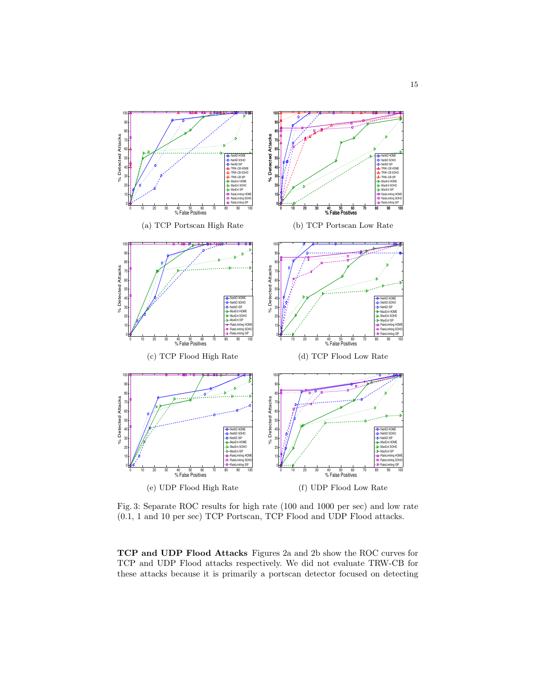

Fig. 3: Separate ROC results for high rate (100 and 1000 per sec) and low rate (0.1, 1 and 10 per sec) TCP Portscan, TCP Flood and UDP Flood attacks.

TCP and UDP Flood Attacks Figures 2a and 2b show the ROC curves for TCP and UDP Flood attacks respectively. We did not evaluate TRW-CB for these attacks because it is primarily a portscan detector focused on detecting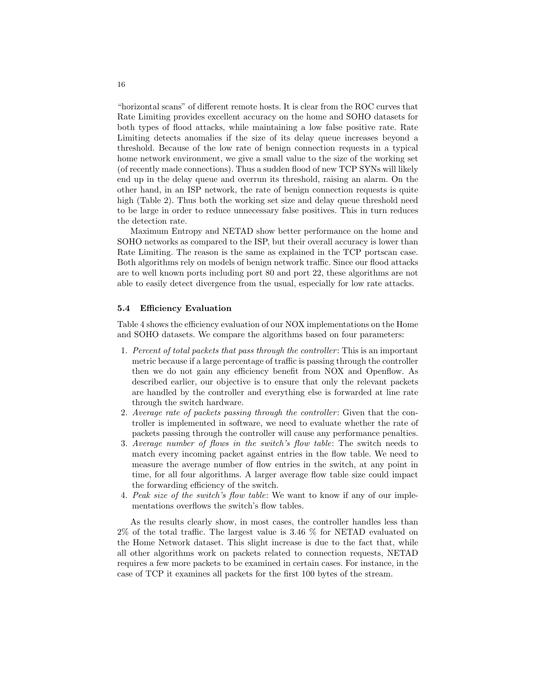"horizontal scans" of different remote hosts. It is clear from the ROC curves that Rate Limiting provides excellent accuracy on the home and SOHO datasets for both types of flood attacks, while maintaining a low false positive rate. Rate Limiting detects anomalies if the size of its delay queue increases beyond a threshold. Because of the low rate of benign connection requests in a typical home network environment, we give a small value to the size of the working set (of recently made connections). Thus a sudden flood of new TCP SYNs will likely end up in the delay queue and overrun its threshold, raising an alarm. On the other hand, in an ISP network, the rate of benign connection requests is quite high (Table 2). Thus both the working set size and delay queue threshold need to be large in order to reduce unnecessary false positives. This in turn reduces the detection rate.

Maximum Entropy and NETAD show better performance on the home and SOHO networks as compared to the ISP, but their overall accuracy is lower than Rate Limiting. The reason is the same as explained in the TCP portscan case. Both algorithms rely on models of benign network traffic. Since our flood attacks are to well known ports including port 80 and port 22, these algorithms are not able to easily detect divergence from the usual, especially for low rate attacks.

#### 5.4 Efficiency Evaluation

Table 4 shows the efficiency evaluation of our NOX implementations on the Home and SOHO datasets. We compare the algorithms based on four parameters:

- 1. Percent of total packets that pass through the controller: This is an important metric because if a large percentage of traffic is passing through the controller then we do not gain any efficiency benefit from NOX and Openflow. As described earlier, our objective is to ensure that only the relevant packets are handled by the controller and everything else is forwarded at line rate through the switch hardware.
- 2. Average rate of packets passing through the controller: Given that the controller is implemented in software, we need to evaluate whether the rate of packets passing through the controller will cause any performance penalties.
- 3. Average number of flows in the switch's flow table: The switch needs to match every incoming packet against entries in the flow table. We need to measure the average number of flow entries in the switch, at any point in time, for all four algorithms. A larger average flow table size could impact the forwarding efficiency of the switch.
- 4. Peak size of the switch's flow table: We want to know if any of our implementations overflows the switch's flow tables.

As the results clearly show, in most cases, the controller handles less than 2% of the total traffic. The largest value is 3.46 % for NETAD evaluated on the Home Network dataset. This slight increase is due to the fact that, while all other algorithms work on packets related to connection requests, NETAD requires a few more packets to be examined in certain cases. For instance, in the case of TCP it examines all packets for the first 100 bytes of the stream.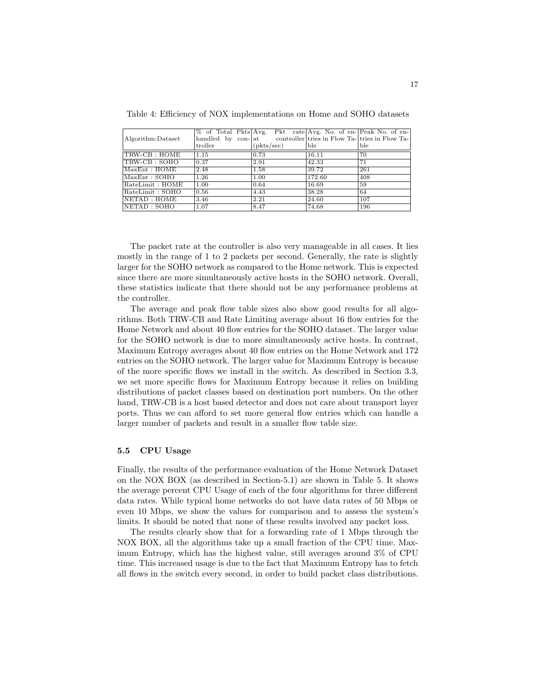| Algorithm:Dataset | % of Total Pkts Avg. Pkt rate Avg. No. of en- Peak No. of en-<br>handled by $\text{con-}$ at controller tries in Flow Ta- tries in Flow Ta-<br>troller | $(\text{pkts/sec})$ | ble    | ble |
|-------------------|--------------------------------------------------------------------------------------------------------------------------------------------------------|---------------------|--------|-----|
| TRW-CB: HOME      | 1.15                                                                                                                                                   | 0.73                | 16.11  | 70  |
| TRW-CB: SOHO      | 0.37                                                                                                                                                   | 2.91                | 42.33  | 71  |
| MaxEnt : HOME     | 2.48                                                                                                                                                   | 1.58                | 39.72  | 261 |
| MaxEnt : SOHO     | 1.26                                                                                                                                                   | 1.00                | 172.60 | 408 |
| RateLimit: HOME   | 1.00                                                                                                                                                   | 0.64                | 16.69  | 59  |
| RateLimit: SOHO   | 0.56                                                                                                                                                   | 4.43                | 38.28  | 64  |
| NETAD : HOME      | 3.46                                                                                                                                                   | 2.21                | 24.60  | 107 |
| NETAD : SOHO      | 1.07                                                                                                                                                   | 8.47                | 74.68  | 196 |

Table 4: Efficiency of NOX implementations on Home and SOHO datasets

The packet rate at the controller is also very manageable in all cases. It lies mostly in the range of 1 to 2 packets per second. Generally, the rate is slightly larger for the SOHO network as compared to the Home network. This is expected since there are more simultaneously active hosts in the SOHO network. Overall, these statistics indicate that there should not be any performance problems at the controller.

The average and peak flow table sizes also show good results for all algorithms. Both TRW-CB and Rate Limiting average about 16 flow entries for the Home Network and about 40 flow entries for the SOHO dataset. The larger value for the SOHO network is due to more simultaneously active hosts. In contrast, Maximum Entropy averages about 40 flow entries on the Home Network and 172 entries on the SOHO network. The larger value for Maximum Entropy is because of the more specific flows we install in the switch. As described in Section 3.3, we set more specific flows for Maximum Entropy because it relies on building distributions of packet classes based on destination port numbers. On the other hand, TRW-CB is a host based detector and does not care about transport layer ports. Thus we can afford to set more general flow entries which can handle a larger number of packets and result in a smaller flow table size.

### 5.5 CPU Usage

Finally, the results of the performance evaluation of the Home Network Dataset on the NOX BOX (as described in Section-5.1) are shown in Table 5. It shows the average percent CPU Usage of each of the four algorithms for three different data rates. While typical home networks do not have data rates of 50 Mbps or even 10 Mbps, we show the values for comparison and to assess the system's limits. It should be noted that none of these results involved any packet loss.

The results clearly show that for a forwarding rate of 1 Mbps through the NOX BOX, all the algorithms take up a small fraction of the CPU time. Maximum Entropy, which has the highest value, still averages around 3% of CPU time. This increased usage is due to the fact that Maximum Entropy has to fetch all flows in the switch every second, in order to build packet class distributions.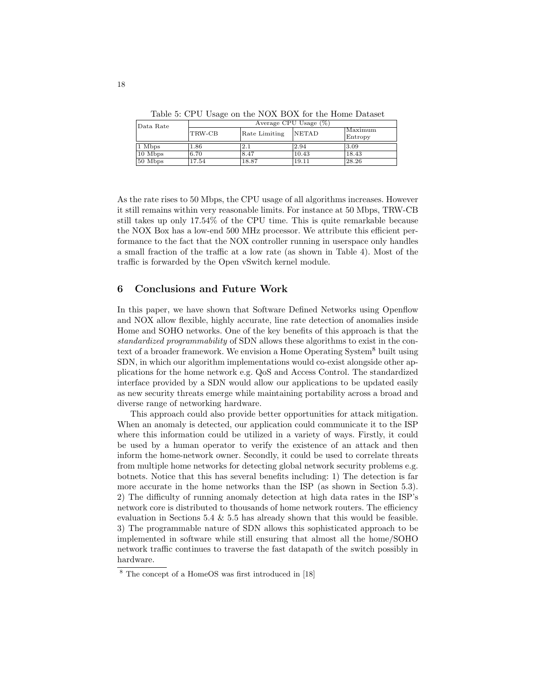| Data Rate | Average CPU Usage $(\%)$ |               |              |                    |  |  |
|-----------|--------------------------|---------------|--------------|--------------------|--|--|
|           | TRW-CB                   | Rate Limiting | <b>NETAD</b> | Maximum<br>Entropy |  |  |
| 1 Mbps    | 1.86                     | $2.1\,$       | 2.94         | 3.09               |  |  |
| 10 Mbps   | 6.70                     | 8.47          | 10.43        | 18.43              |  |  |
| 50 Mbps   | 17.54                    | 18.87         | 19.11        | 28.26              |  |  |

Table 5: CPU Usage on the NOX BOX for the Home Dataset

As the rate rises to 50 Mbps, the CPU usage of all algorithms increases. However it still remains within very reasonable limits. For instance at 50 Mbps, TRW-CB still takes up only 17.54% of the CPU time. This is quite remarkable because the NOX Box has a low-end 500 MHz processor. We attribute this efficient performance to the fact that the NOX controller running in userspace only handles a small fraction of the traffic at a low rate (as shown in Table 4). Most of the traffic is forwarded by the Open vSwitch kernel module.

# 6 Conclusions and Future Work

In this paper, we have shown that Software Defined Networks using Openflow and NOX allow flexible, highly accurate, line rate detection of anomalies inside Home and SOHO networks. One of the key benefits of this approach is that the standardized programmability of SDN allows these algorithms to exist in the context of a broader framework. We envision a Home Operating System<sup>8</sup> built using SDN, in which our algorithm implementations would co-exist alongside other applications for the home network e.g. QoS and Access Control. The standardized interface provided by a SDN would allow our applications to be updated easily as new security threats emerge while maintaining portability across a broad and diverse range of networking hardware.

This approach could also provide better opportunities for attack mitigation. When an anomaly is detected, our application could communicate it to the ISP where this information could be utilized in a variety of ways. Firstly, it could be used by a human operator to verify the existence of an attack and then inform the home-network owner. Secondly, it could be used to correlate threats from multiple home networks for detecting global network security problems e.g. botnets. Notice that this has several benefits including: 1) The detection is far more accurate in the home networks than the ISP (as shown in Section 5.3). 2) The difficulty of running anomaly detection at high data rates in the ISP's network core is distributed to thousands of home network routers. The efficiency evaluation in Sections 5.4  $\&$  5.5 has already shown that this would be feasible. 3) The programmable nature of SDN allows this sophisticated approach to be implemented in software while still ensuring that almost all the home/SOHO network traffic continues to traverse the fast datapath of the switch possibly in hardware.

<sup>8</sup> The concept of a HomeOS was first introduced in [18]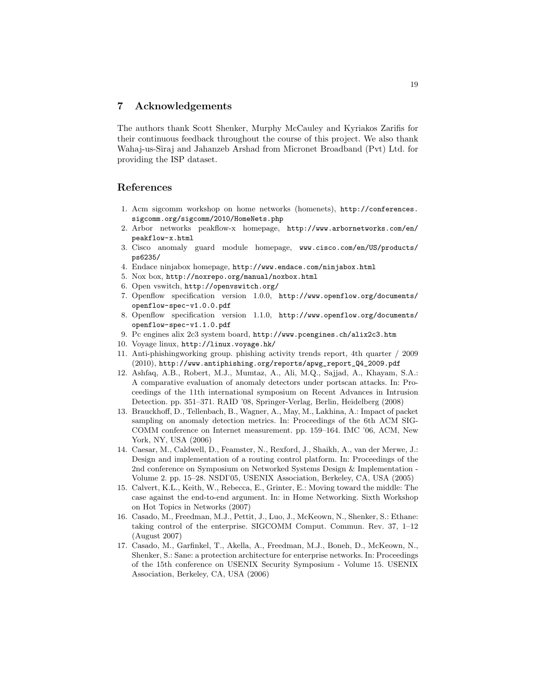# 7 Acknowledgements

The authors thank Scott Shenker, Murphy McCauley and Kyriakos Zarifis for their continuous feedback throughout the course of this project. We also thank Wahaj-us-Siraj and Jahanzeb Arshad from Micronet Broadband (Pvt) Ltd. for providing the ISP dataset.

# References

- 1. Acm sigcomm workshop on home networks (homenets), http://conferences. sigcomm.org/sigcomm/2010/HomeNets.php
- 2. Arbor networks peakflow-x homepage, http://www.arbornetworks.com/en/ peakflow-x.html
- 3. Cisco anomaly guard module homepage, www.cisco.com/en/US/products/ ps6235/
- 4. Endace ninjabox homepage, http://www.endace.com/ninjabox.html
- 5. Nox box, http://noxrepo.org/manual/noxbox.html
- 6. Open vswitch, http://openvswitch.org/
- 7. Openflow specification version 1.0.0, http://www.openflow.org/documents/ openflow-spec-v1.0.0.pdf
- 8. Openflow specification version 1.1.0, http://www.openflow.org/documents/ openflow-spec-v1.1.0.pdf
- 9. Pc engines alix 2c3 system board, http://www.pcengines.ch/alix2c3.htm
- 10. Voyage linux, http://linux.voyage.hk/
- 11. Anti-phishingworking group. phishing activity trends report, 4th quarter / 2009 (2010), http://www.antiphishing.org/reports/apwg\_report\_Q4\_2009.pdf
- 12. Ashfaq, A.B., Robert, M.J., Mumtaz, A., Ali, M.Q., Sajjad, A., Khayam, S.A.: A comparative evaluation of anomaly detectors under portscan attacks. In: Proceedings of the 11th international symposium on Recent Advances in Intrusion Detection. pp. 351–371. RAID '08, Springer-Verlag, Berlin, Heidelberg (2008)
- 13. Brauckhoff, D., Tellenbach, B., Wagner, A., May, M., Lakhina, A.: Impact of packet sampling on anomaly detection metrics. In: Proceedings of the 6th ACM SIG-COMM conference on Internet measurement. pp. 159–164. IMC '06, ACM, New York, NY, USA (2006)
- 14. Caesar, M., Caldwell, D., Feamster, N., Rexford, J., Shaikh, A., van der Merwe, J.: Design and implementation of a routing control platform. In: Proceedings of the 2nd conference on Symposium on Networked Systems Design & Implementation - Volume 2. pp. 15–28. NSDI'05, USENIX Association, Berkeley, CA, USA (2005)
- 15. Calvert, K.L., Keith, W., Rebecca, E., Grinter, E.: Moving toward the middle: The case against the end-to-end argument. In: in Home Networking. Sixth Workshop on Hot Topics in Networks (2007)
- 16. Casado, M., Freedman, M.J., Pettit, J., Luo, J., McKeown, N., Shenker, S.: Ethane: taking control of the enterprise. SIGCOMM Comput. Commun. Rev. 37, 1–12 (August 2007)
- 17. Casado, M., Garfinkel, T., Akella, A., Freedman, M.J., Boneh, D., McKeown, N., Shenker, S.: Sane: a protection architecture for enterprise networks. In: Proceedings of the 15th conference on USENIX Security Symposium - Volume 15. USENIX Association, Berkeley, CA, USA (2006)